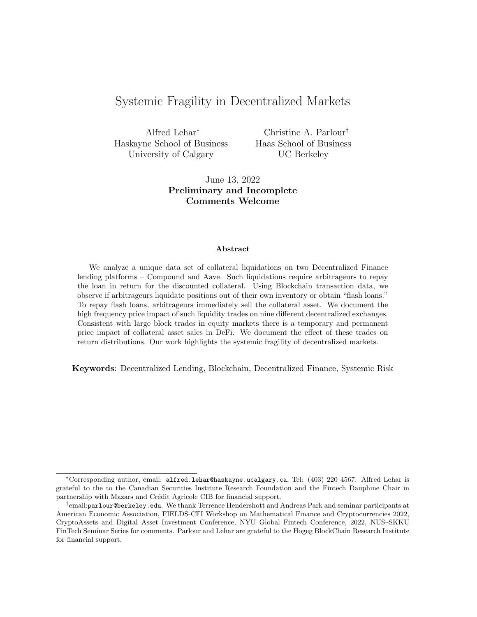# Systemic Fragility in Decentralized Markets

Alfred Lehar<sup>∗</sup> Haskayne School of Business University of Calgary

Christine A. Parlour† Haas School of Business UC Berkeley

### June 13, 2022 Preliminary and Incomplete Comments Welcome

#### Abstract

We analyze a unique data set of collateral liquidations on two Decentralized Finance lending platforms – Compound and Aave. Such liquidations require arbitrageurs to repay the loan in return for the discounted collateral. Using Blockchain transaction data, we observe if arbitrageurs liquidate positions out of their own inventory or obtain "flash loans." To repay flash loans, arbitrageurs immediately sell the collateral asset. We document the high frequency price impact of such liquidity trades on nine different decentralized exchanges. Consistent with large block trades in equity markets there is a temporary and permanent price impact of collateral asset sales in DeFi. We document the effect of these trades on return distributions. Our work highlights the systemic fragility of decentralized markets.

Keywords: Decentralized Lending, Blockchain, Decentralized Finance, Systemic Risk

<sup>∗</sup>Corresponding author, email: alfred.lehar@haskayne.ucalgary.ca, Tel: (403) 220 4567. Alfred Lehar is grateful to the to the Canadian Securities Institute Research Foundation and the Fintech Dauphine Chair in partnership with Mazars and Crédit Agricole CIB for financial support.

 $^\dagger$ email: $\texttt{pairlower@berkeley.edu}.$  We thank Terrence Hendershott and Andreas Park and seminar participants at American Economic Association, FIELDS-CFI Workshop on Mathematical Finance and Cryptocurrencies 2022, CryptoAssets and Digital Asset Investment Conference, NYU Global Fintech Conference, 2022, NUS–SKKU FinTech Seminar Series for comments. Parlour and Lehar are grateful to the Hogeg BlockChain Research Institute for financial support.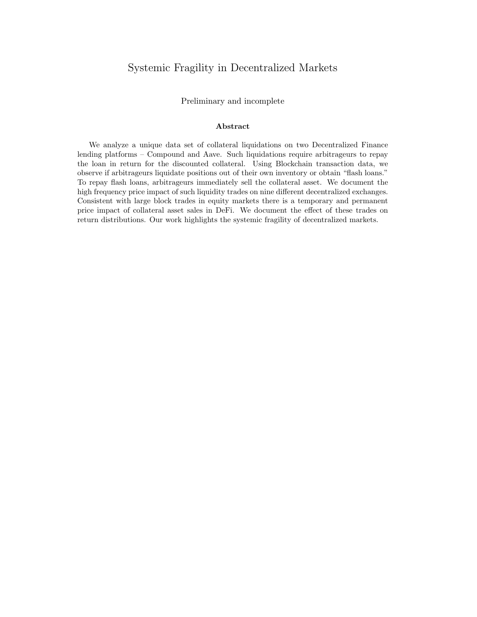## Systemic Fragility in Decentralized Markets

Preliminary and incomplete

#### Abstract

We analyze a unique data set of collateral liquidations on two Decentralized Finance lending platforms – Compound and Aave. Such liquidations require arbitrageurs to repay the loan in return for the discounted collateral. Using Blockchain transaction data, we observe if arbitrageurs liquidate positions out of their own inventory or obtain "flash loans." To repay flash loans, arbitrageurs immediately sell the collateral asset. We document the high frequency price impact of such liquidity trades on nine different decentralized exchanges. Consistent with large block trades in equity markets there is a temporary and permanent price impact of collateral asset sales in DeFi. We document the effect of these trades on return distributions. Our work highlights the systemic fragility of decentralized markets.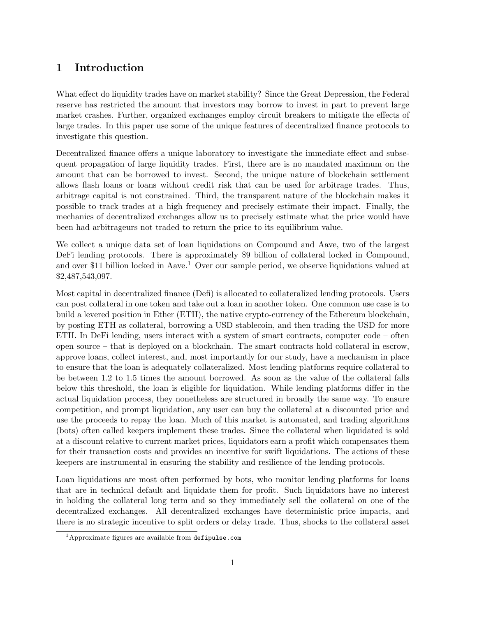# 1 Introduction

What effect do liquidity trades have on market stability? Since the Great Depression, the Federal reserve has restricted the amount that investors may borrow to invest in part to prevent large market crashes. Further, organized exchanges employ circuit breakers to mitigate the effects of large trades. In this paper use some of the unique features of decentralized finance protocols to investigate this question.

Decentralized finance offers a unique laboratory to investigate the immediate effect and subsequent propagation of large liquidity trades. First, there are is no mandated maximum on the amount that can be borrowed to invest. Second, the unique nature of blockchain settlement allows flash loans or loans without credit risk that can be used for arbitrage trades. Thus, arbitrage capital is not constrained. Third, the transparent nature of the blockchain makes it possible to track trades at a high frequency and precisely estimate their impact. Finally, the mechanics of decentralized exchanges allow us to precisely estimate what the price would have been had arbitrageurs not traded to return the price to its equilibrium value.

We collect a unique data set of loan liquidations on Compound and Aave, two of the largest DeFi lending protocols. There is approximately \$9 billion of collateral locked in Compound, and over \$11 billion locked in Aave.<sup>1</sup> Over our sample period, we observe liquidations valued at \$2,487,543,097.

Most capital in decentralized finance (Defi) is allocated to collateralized lending protocols. Users can post collateral in one token and take out a loan in another token. One common use case is to build a levered position in Ether (ETH), the native crypto-currency of the Ethereum blockchain, by posting ETH as collateral, borrowing a USD stablecoin, and then trading the USD for more ETH. In DeFi lending, users interact with a system of smart contracts, computer code – often open source – that is deployed on a blockchain. The smart contracts hold collateral in escrow, approve loans, collect interest, and, most importantly for our study, have a mechanism in place to ensure that the loan is adequately collateralized. Most lending platforms require collateral to be between 1.2 to 1.5 times the amount borrowed. As soon as the value of the collateral falls below this threshold, the loan is eligible for liquidation. While lending platforms differ in the actual liquidation process, they nonetheless are structured in broadly the same way. To ensure competition, and prompt liquidation, any user can buy the collateral at a discounted price and use the proceeds to repay the loan. Much of this market is automated, and trading algorithms (bots) often called keepers implement these trades. Since the collateral when liquidated is sold at a discount relative to current market prices, liquidators earn a profit which compensates them for their transaction costs and provides an incentive for swift liquidations. The actions of these keepers are instrumental in ensuring the stability and resilience of the lending protocols.

Loan liquidations are most often performed by bots, who monitor lending platforms for loans that are in technical default and liquidate them for profit. Such liquidators have no interest in holding the collateral long term and so they immediately sell the collateral on one of the decentralized exchanges. All decentralized exchanges have deterministic price impacts, and there is no strategic incentive to split orders or delay trade. Thus, shocks to the collateral asset

<sup>1</sup>Approximate figures are available from defipulse.com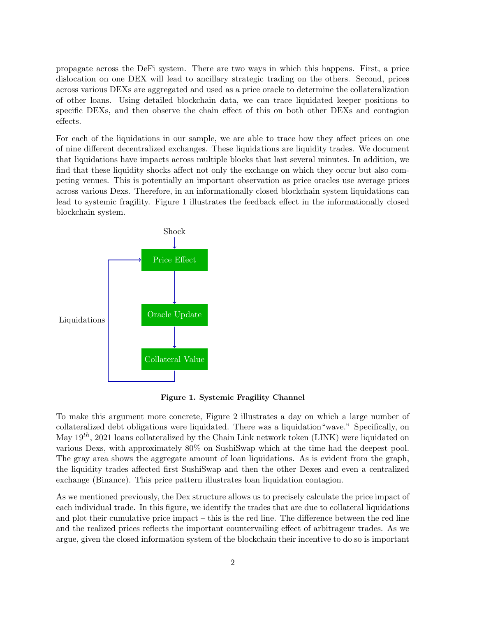propagate across the DeFi system. There are two ways in which this happens. First, a price dislocation on one DEX will lead to ancillary strategic trading on the others. Second, prices across various DEXs are aggregated and used as a price oracle to determine the collateralization of other loans. Using detailed blockchain data, we can trace liquidated keeper positions to specific DEXs, and then observe the chain effect of this on both other DEXs and contagion effects.

For each of the liquidations in our sample, we are able to trace how they affect prices on one of nine different decentralized exchanges. These liquidations are liquidity trades. We document that liquidations have impacts across multiple blocks that last several minutes. In addition, we find that these liquidity shocks affect not only the exchange on which they occur but also competing venues. This is potentially an important observation as price oracles use average prices across various Dexs. Therefore, in an informationally closed blockchain system liquidations can lead to systemic fragility. Figure 1 illustrates the feedback effect in the informationally closed blockchain system.



Figure 1. Systemic Fragility Channel

To make this argument more concrete, Figure 2 illustrates a day on which a large number of collateralized debt obligations were liquidated. There was a liquidation"wave." Specifically, on May  $19^{th}$ , 2021 loans collateralized by the Chain Link network token (LINK) were liquidated on various Dexs, with approximately 80% on SushiSwap which at the time had the deepest pool. The gray area shows the aggregate amount of loan liquidations. As is evident from the graph, the liquidity trades affected first SushiSwap and then the other Dexes and even a centralized exchange (Binance). This price pattern illustrates loan liquidation contagion.

As we mentioned previously, the Dex structure allows us to precisely calculate the price impact of each individual trade. In this figure, we identify the trades that are due to collateral liquidations and plot their cumulative price impact – this is the red line. The difference between the red line and the realized prices reflects the important countervailing effect of arbitrageur trades. As we argue, given the closed information system of the blockchain their incentive to do so is important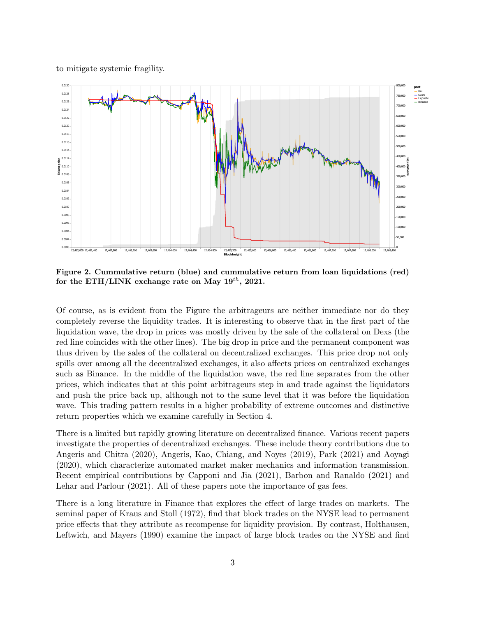to mitigate systemic fragility.



Figure 2. Cummulative return (blue) and cummulative return from loan liquidations (red) for the ETH/LINK exchange rate on May  $19^{th}$ , 2021.

Of course, as is evident from the Figure the arbitrageurs are neither immediate nor do they completely reverse the liquidity trades. It is interesting to observe that in the first part of the liquidation wave, the drop in prices was mostly driven by the sale of the collateral on Dexs (the red line coincides with the other lines). The big drop in price and the permanent component was thus driven by the sales of the collateral on decentralized exchanges. This price drop not only spills over among all the decentralized exchanges, it also affects prices on centralized exchanges such as Binance. In the middle of the liquidation wave, the red line separates from the other prices, which indicates that at this point arbitrageurs step in and trade against the liquidators and push the price back up, although not to the same level that it was before the liquidation wave. This trading pattern results in a higher probability of extreme outcomes and distinctive return properties which we examine carefully in Section 4.

There is a limited but rapidly growing literature on decentralized finance. Various recent papers investigate the properties of decentralized exchanges. These include theory contributions due to Angeris and Chitra (2020), Angeris, Kao, Chiang, and Noyes (2019), Park (2021) and Aoyagi (2020), which characterize automated market maker mechanics and information transmission. Recent empirical contributions by Capponi and Jia (2021), Barbon and Ranaldo (2021) and Lehar and Parlour (2021). All of these papers note the importance of gas fees.

There is a long literature in Finance that explores the effect of large trades on markets. The seminal paper of Kraus and Stoll (1972), find that block trades on the NYSE lead to permanent price effects that they attribute as recompense for liquidity provision. By contrast, Holthausen, Leftwich, and Mayers (1990) examine the impact of large block trades on the NYSE and find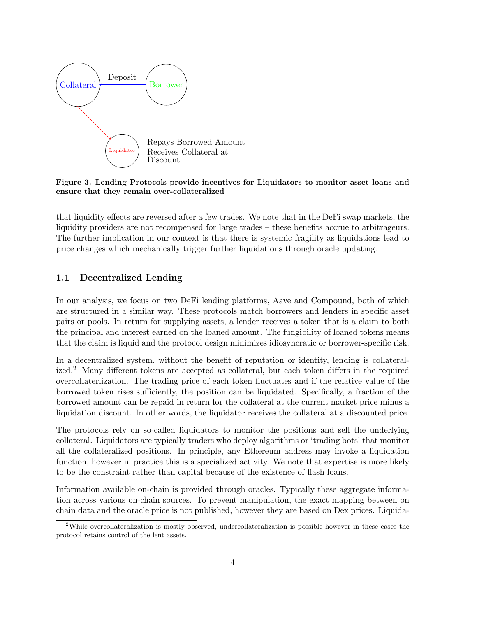

Figure 3. Lending Protocols provide incentives for Liquidators to monitor asset loans and ensure that they remain over-collateralized

that liquidity effects are reversed after a few trades. We note that in the DeFi swap markets, the liquidity providers are not recompensed for large trades – these benefits accrue to arbitrageurs. The further implication in our context is that there is systemic fragility as liquidations lead to price changes which mechanically trigger further liquidations through oracle updating.

### 1.1 Decentralized Lending

In our analysis, we focus on two DeFi lending platforms, Aave and Compound, both of which are structured in a similar way. These protocols match borrowers and lenders in specific asset pairs or pools. In return for supplying assets, a lender receives a token that is a claim to both the principal and interest earned on the loaned amount. The fungibility of loaned tokens means that the claim is liquid and the protocol design minimizes idiosyncratic or borrower-specific risk.

In a decentralized system, without the benefit of reputation or identity, lending is collateralized.<sup>2</sup> Many different tokens are accepted as collateral, but each token differs in the required overcollaterlization. The trading price of each token fluctuates and if the relative value of the borrowed token rises sufficiently, the position can be liquidated. Specifically, a fraction of the borrowed amount can be repaid in return for the collateral at the current market price minus a liquidation discount. In other words, the liquidator receives the collateral at a discounted price.

The protocols rely on so-called liquidators to monitor the positions and sell the underlying collateral. Liquidators are typically traders who deploy algorithms or 'trading bots' that monitor all the collateralized positions. In principle, any Ethereum address may invoke a liquidation function, however in practice this is a specialized activity. We note that expertise is more likely to be the constraint rather than capital because of the existence of flash loans.

Information available on-chain is provided through oracles. Typically these aggregate information across various on-chain sources. To prevent manipulation, the exact mapping between on chain data and the oracle price is not published, however they are based on Dex prices. Liquida-

<sup>2</sup>While overcollateralization is mostly observed, undercollateralization is possible however in these cases the protocol retains control of the lent assets.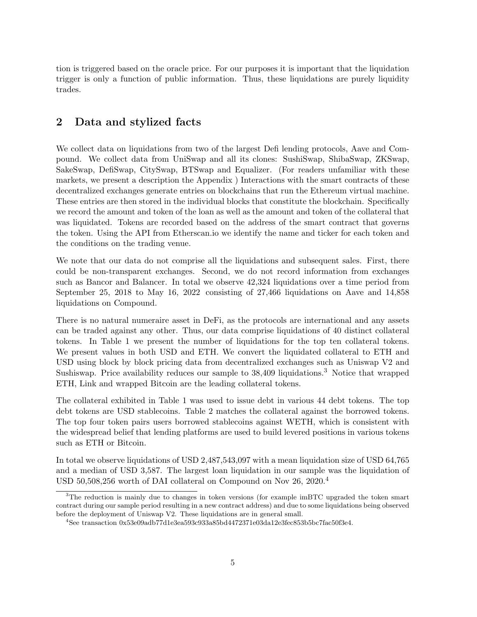tion is triggered based on the oracle price. For our purposes it is important that the liquidation trigger is only a function of public information. Thus, these liquidations are purely liquidity trades.

## 2 Data and stylized facts

We collect data on liquidations from two of the largest Defi lending protocols, Aave and Compound. We collect data from UniSwap and all its clones: SushiSwap, ShibaSwap, ZKSwap, SakeSwap, DefiSwap, CitySwap, BTSwap and Equalizer. (For readers unfamiliar with these markets, we present a description the Appendix ) Interactions with the smart contracts of these decentralized exchanges generate entries on blockchains that run the Ethereum virtual machine. These entries are then stored in the individual blocks that constitute the blockchain. Specifically we record the amount and token of the loan as well as the amount and token of the collateral that was liquidated. Tokens are recorded based on the address of the smart contract that governs the token. Using the API from Etherscan.io we identify the name and ticker for each token and the conditions on the trading venue.

We note that our data do not comprise all the liquidations and subsequent sales. First, there could be non-transparent exchanges. Second, we do not record information from exchanges such as Bancor and Balancer. In total we observe 42,324 liquidations over a time period from September 25, 2018 to May 16, 2022 consisting of 27,466 liquidations on Aave and 14,858 liquidations on Compound.

There is no natural numeraire asset in DeFi, as the protocols are international and any assets can be traded against any other. Thus, our data comprise liquidations of 40 distinct collateral tokens. In Table 1 we present the number of liquidations for the top ten collateral tokens. We present values in both USD and ETH. We convert the liquidated collateral to ETH and USD using block by block pricing data from decentralized exchanges such as Uniswap V2 and Sushiswap. Price availability reduces our sample to 38,409 liquidations.<sup>3</sup> Notice that wrapped ETH, Link and wrapped Bitcoin are the leading collateral tokens.

The collateral exhibited in Table 1 was used to issue debt in various 44 debt tokens. The top debt tokens are USD stablecoins. Table 2 matches the collateral against the borrowed tokens. The top four token pairs users borrowed stablecoins against WETH, which is consistent with the widespread belief that lending platforms are used to build levered positions in various tokens such as ETH or Bitcoin.

In total we observe liquidations of USD 2,487,543,097 with a mean liquidation size of USD 64,765 and a median of USD 3,587. The largest loan liquidation in our sample was the liquidation of USD 50,508,256 worth of DAI collateral on Compound on Nov 26, 2020.<sup>4</sup>

<sup>&</sup>lt;sup>3</sup>The reduction is mainly due to changes in token versions (for example imBTC upgraded the token smart contract during our sample period resulting in a new contract address) and due to some liquidations being observed before the deployment of Uniswap V2. These liquidations are in general small.

<sup>4</sup>See transaction 0x53e09adb77d1e3ea593c933a85bd4472371e03da12e3fec853b5bc7fac50f3e4.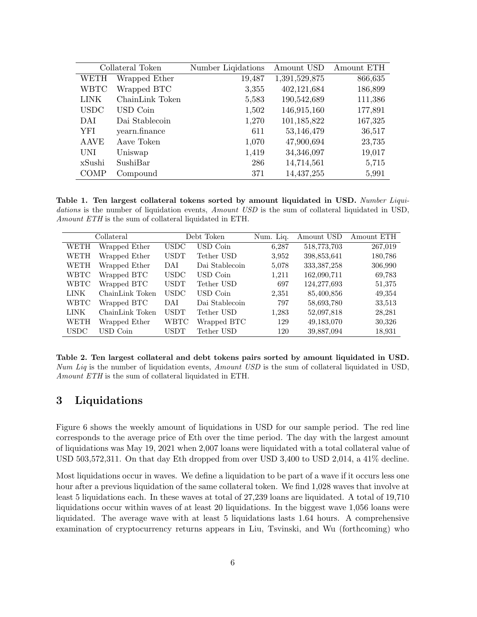| Collateral Token |                 | Number Liqidations | Amount USD    | Amount ETH |
|------------------|-----------------|--------------------|---------------|------------|
| WETH             | Wrapped Ether   | 19,487             | 1,391,529,875 | 866,635    |
| <b>WBTC</b>      | Wrapped BTC     | 3,355              | 402,121,684   | 186,899    |
| <b>LINK</b>      | ChainLink Token | 5,583              | 190,542,689   | 111,386    |
| <b>USDC</b>      | USD Coin        | 1,502              | 146,915,160   | 177,891    |
| DAI              | Dai Stablecoin  | 1,270              | 101,185,822   | 167,325    |
| YFI              | yearn.finance   | 611                | 53,146,479    | 36,517     |
| AAVE             | Aave Token      | 1,070              | 47,900,694    | 23,735     |
| UNI              | Uniswap         | 1,419              | 34,346,097    | 19,017     |
| xSushi           | SushiBar        | 286                | 14,714,561    | 5,715      |
| COMP             | Compound        | 371                | 14,437,255    | 5,991      |

Table 1. Ten largest collateral tokens sorted by amount liquidated in USD. Number Liquidations is the number of liquidation events, Amount USD is the sum of collateral liquidated in USD, Amount ETH is the sum of collateral liquidated in ETH.

| Collateral  |                 | Debt Token  |                | Num. Liq. | Amount USD    | Amount ETH |
|-------------|-----------------|-------------|----------------|-----------|---------------|------------|
| WETH        | Wrapped Ether   | <b>USDC</b> | USD Coin       | 6,287     | 518,773,703   | 267,019    |
| WETH        | Wrapped Ether   | <b>USDT</b> | Tether USD     | 3.952     | 398,853,641   | 180,786    |
| <b>WETH</b> | Wrapped Ether   | DAI         | Dai Stablecoin | 5,078     | 333, 387, 258 | 306,990    |
| WBTC        | Wrapped BTC     | <b>USDC</b> | USD Coin       | 1,211     | 162,090,711   | 69.783     |
| WBTC        | Wrapped BTC     | <b>USDT</b> | Tether USD     | 697       | 124,277,693   | 51,375     |
| <b>LINK</b> | ChainLink Token | <b>USDC</b> | USD Coin       | 2,351     | 85,400,856    | 49.354     |
| <b>WBTC</b> | Wrapped BTC     | DAI.        | Dai Stablecoin | 797       | 58,693,780    | 33,513     |
| <b>LINK</b> | ChainLink Token | <b>USDT</b> | Tether USD     | 1,283     | 52,097,818    | 28,281     |
| <b>WETH</b> | Wrapped Ether   | WBTC        | Wrapped BTC    | 129       | 49,183,070    | 30.326     |
| <b>USDC</b> | USD Coin        | <b>USDT</b> | Tether USD     | 120       | 39,887,094    | 18.931     |

Table 2. Ten largest collateral and debt tokens pairs sorted by amount liquidated in USD. Num Liq is the number of liquidation events, Amount USD is the sum of collateral liquidated in USD, Amount ETH is the sum of collateral liquidated in ETH.

### 3 Liquidations

Figure 6 shows the weekly amount of liquidations in USD for our sample period. The red line corresponds to the average price of Eth over the time period. The day with the largest amount of liquidations was May 19, 2021 when 2,007 loans were liquidated with a total collateral value of USD 503,572,311. On that day Eth dropped from over USD 3,400 to USD 2,014, a 41% decline.

Most liquidations occur in waves. We define a liquidation to be part of a wave if it occurs less one hour after a previous liquidation of the same collateral token. We find 1,028 waves that involve at least 5 liquidations each. In these waves at total of 27,239 loans are liquidated. A total of 19,710 liquidations occur within waves of at least 20 liquidations. In the biggest wave 1,056 loans were liquidated. The average wave with at least 5 liquidations lasts 1.64 hours. A comprehensive examination of cryptocurrency returns appears in Liu, Tsvinski, and Wu (forthcoming) who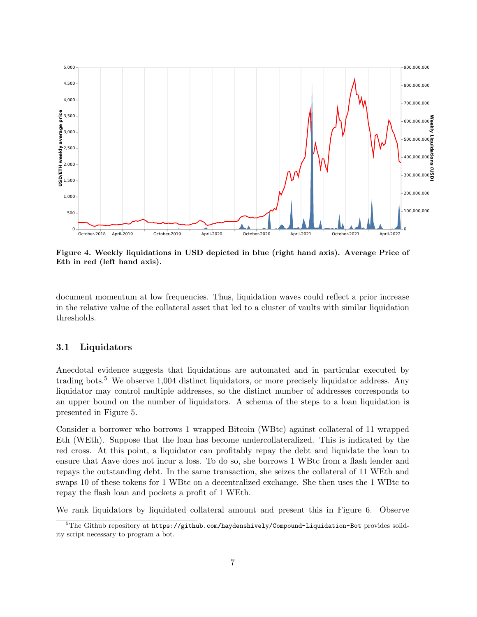

Figure 4. Weekly liquidations in USD depicted in blue (right hand axis). Average Price of Eth in red (left hand axis).

document momentum at low frequencies. Thus, liquidation waves could reflect a prior increase in the relative value of the collateral asset that led to a cluster of vaults with similar liquidation thresholds.

#### 3.1 Liquidators

Anecdotal evidence suggests that liquidations are automated and in particular executed by trading bots.<sup>5</sup> We observe 1,004 distinct liquidators, or more precisely liquidator address. Any liquidator may control multiple addresses, so the distinct number of addresses corresponds to an upper bound on the number of liquidators. A schema of the steps to a loan liquidation is presented in Figure 5.

Consider a borrower who borrows 1 wrapped Bitcoin (WBtc) against collateral of 11 wrapped Eth (WEth). Suppose that the loan has become undercollateralized. This is indicated by the red cross. At this point, a liquidator can profitably repay the debt and liquidate the loan to ensure that Aave does not incur a loss. To do so, she borrows 1 WBtc from a flash lender and repays the outstanding debt. In the same transaction, she seizes the collateral of 11 WEth and swaps 10 of these tokens for 1 WBtc on a decentralized exchange. She then uses the 1 WBtc to repay the flash loan and pockets a profit of 1 WEth.

We rank liquidators by liquidated collateral amount and present this in Figure 6. Observe

<sup>5</sup>The Github repository at https://github.com/haydenshively/Compound-Liquidation-Bot provides solidity script necessary to program a bot.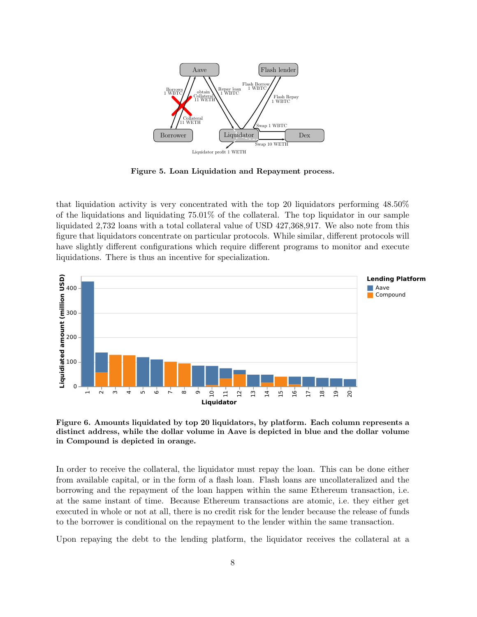

Figure 5. Loan Liquidation and Repayment process.

that liquidation activity is very concentrated with the top 20 liquidators performing 48.50% of the liquidations and liquidating  $75.01\%$  of the collateral. The top liquidator in our sample liquidated 2,732 loans with a total collateral value of USD 427,368,917. We also note from this figure that liquidators concentrate on particular protocols. While similar, different protocols will have slightly different configurations which require different programs to monitor and execute liquidations. There is thus an incentive for specialization.



Figure 6. Amounts liquidated by top 20 liquidators, by platform. Each column represents a distinct address, while the dollar volume in Aave is depicted in blue and the dollar volume in Compound is depicted in orange.

In order to receive the collateral, the liquidator must repay the loan. This can be done either from available capital, or in the form of a flash loan. Flash loans are uncollateralized and the borrowing and the repayment of the loan happen within the same Ethereum transaction, i.e. at the same instant of time. Because Ethereum transactions are atomic, i.e. they either get executed in whole or not at all, there is no credit risk for the lender because the release of funds to the borrower is conditional on the repayment to the lender within the same transaction.

Upon repaying the debt to the lending platform, the liquidator receives the collateral at a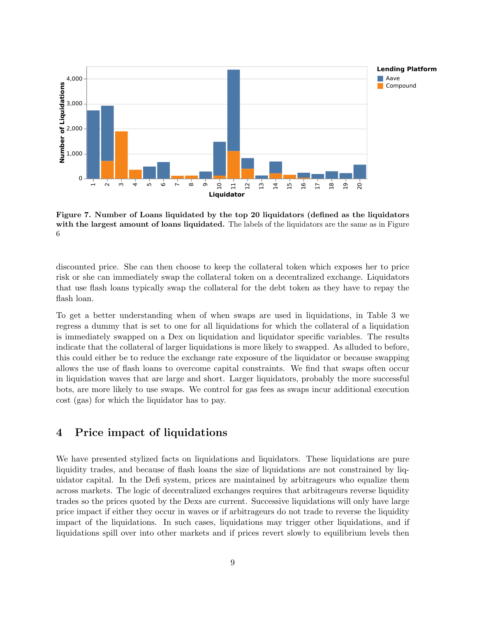

Figure 7. Number of Loans liquidated by the top 20 liquidators (defined as the liquidators with the largest amount of loans liquidated. The labels of the liquidators are the same as in Figure 6

discounted price. She can then choose to keep the collateral token which exposes her to price risk or she can immediately swap the collateral token on a decentralized exchange. Liquidators that use flash loans typically swap the collateral for the debt token as they have to repay the flash loan.

To get a better understanding when of when swaps are used in liquidations, in Table 3 we regress a dummy that is set to one for all liquidations for which the collateral of a liquidation is immediately swapped on a Dex on liquidation and liquidator specific variables. The results indicate that the collateral of larger liquidations is more likely to swapped. As alluded to before, this could either be to reduce the exchange rate exposure of the liquidator or because swapping allows the use of flash loans to overcome capital constraints. We find that swaps often occur in liquidation waves that are large and short. Larger liquidators, probably the more successful bots, are more likely to use swaps. We control for gas fees as swaps incur additional execution cost (gas) for which the liquidator has to pay.

### 4 Price impact of liquidations

We have presented stylized facts on liquidations and liquidators. These liquidations are pure liquidity trades, and because of flash loans the size of liquidations are not constrained by liquidator capital. In the Defi system, prices are maintained by arbitrageurs who equalize them across markets. The logic of decentralized exchanges requires that arbitrageurs reverse liquidity trades so the prices quoted by the Dexs are current. Successive liquidations will only have large price impact if either they occur in waves or if arbitrageurs do not trade to reverse the liquidity impact of the liquidations. In such cases, liquidations may trigger other liquidations, and if liquidations spill over into other markets and if prices revert slowly to equilibrium levels then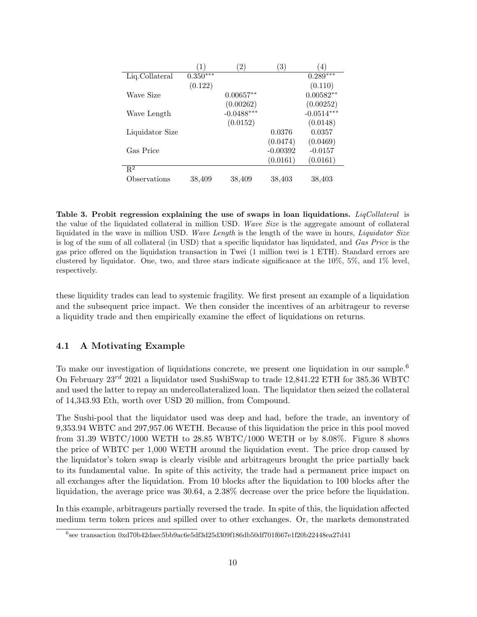|                           | $\left(1\right)$ | $\left( 2\right)$ | 3)         | 4)           |
|---------------------------|------------------|-------------------|------------|--------------|
| Liq.Collateral            | $0.350***$       |                   |            | $0.289***$   |
|                           | (0.122)          |                   |            | (0.110)      |
| Wave Size                 |                  | $0.00657**$       |            | $0.00582**$  |
|                           |                  | (0.00262)         |            | (0.00252)    |
| Wave Length               |                  | $-0.0488***$      |            | $-0.0514***$ |
|                           |                  | (0.0152)          |            | (0.0148)     |
| Liquidator Size           |                  |                   | 0.0376     | 0.0357       |
|                           |                  |                   | (0.0474)   | (0.0469)     |
| Gas Price                 |                  |                   | $-0.00392$ | $-0.0157$    |
|                           |                  |                   | (0.0161)   | (0.0161)     |
| $\overline{\mathrm{R}^2}$ |                  |                   |            |              |
| Observations              | 38,409           | 38,409            | 38,403     | 38,403       |

Table 3. Probit regression explaining the use of swaps in loan liquidations.  $LiqCollateral$  is the value of the liquidated collateral in million USD. Wave Size is the aggregate amount of collateral liquidated in the wave in million USD. Wave Length is the length of the wave in hours, Liquidator Size is log of the sum of all collateral (in USD) that a specific liquidator has liquidated, and Gas Price is the gas price offered on the liquidation transaction in Twei (1 million twei is 1 ETH). Standard errors are clustered by liquidator. One, two, and three stars indicate significance at the 10%, 5%, and 1% level, respectively.

these liquidity trades can lead to systemic fragility. We first present an example of a liquidation and the subsequent price impact. We then consider the incentives of an arbitrageur to reverse a liquidity trade and then empirically examine the effect of liquidations on returns.

### 4.1 A Motivating Example

To make our investigation of liquidations concrete, we present one liquidation in our sample.<sup>6</sup> On February  $23^{rd}$  2021 a liquidator used SushiSwap to trade 12,841.22 ETH for 385.36 WBTC and used the latter to repay an undercollateralized loan. The liquidator then seized the collateral of 14,343.93 Eth, worth over USD 20 million, from Compound.

The Sushi-pool that the liquidator used was deep and had, before the trade, an inventory of 9,353.94 WBTC and 297,957.06 WETH. Because of this liquidation the price in this pool moved from 31.39 WBTC/1000 WETH to 28.85 WBTC/1000 WETH or by 8.08%. Figure 8 shows the price of WBTC per 1,000 WETH around the liquidation event. The price drop caused by the liquidator's token swap is clearly visible and arbitrageurs brought the price partially back to its fundamental value. In spite of this activity, the trade had a permanent price impact on all exchanges after the liquidation. From 10 blocks after the liquidation to 100 blocks after the liquidation, the average price was 30.64, a 2.38% decrease over the price before the liquidation.

In this example, arbitrageurs partially reversed the trade. In spite of this, the liquidation affected medium term token prices and spilled over to other exchanges. Or, the markets demonstrated

 $^6$ see transaction 0xd70b42daec5bb9ac6e5df3d25d309f186db50df701f667e1f20b22448ea27d41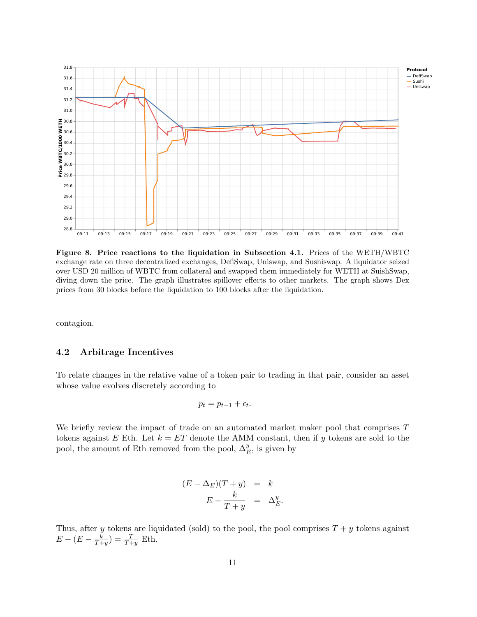

Figure 8. Price reactions to the liquidation in Subsection 4.1. Prices of the WETH/WBTC exchange rate on three decentralized exchanges, DefiSwap, Uniswap, and Sushiswap. A liquidator seized over USD 20 million of WBTC from collateral and swapped them immediately for WETH at SuishSwap, diving down the price. The graph illustrates spillover effects to other markets. The graph shows Dex prices from 30 blocks before the liquidation to 100 blocks after the liquidation.

contagion.

### 4.2 Arbitrage Incentives

To relate changes in the relative value of a token pair to trading in that pair, consider an asset whose value evolves discretely according to

$$
p_t = p_{t-1} + \epsilon_t.
$$

We briefly review the impact of trade on an automated market maker pool that comprises  $T$ tokens against E Eth. Let  $k = ET$  denote the AMM constant, then if y tokens are sold to the pool, the amount of Eth removed from the pool,  $\Delta_E^y$ , is given by

$$
(E - \Delta_E)(T + y) = k
$$
  

$$
E - \frac{k}{T + y} = \Delta_E^y
$$

.

Thus, after y tokens are liquidated (sold) to the pool, the pool comprises  $T + y$  tokens against  $E-(E-\frac{k}{T+1})$  $\frac{k}{T+y}$ ) =  $\frac{T}{T+y}$  Eth.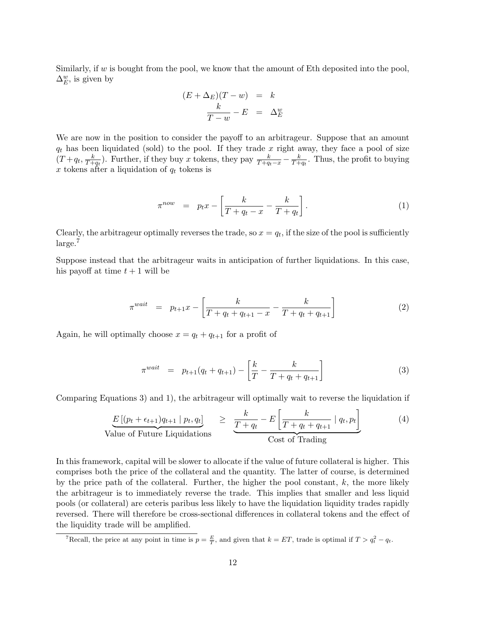Similarly, if  $w$  is bought from the pool, we know that the amount of Eth deposited into the pool,  $\Delta_E^w$ , is given by

$$
(E + \Delta_E)(T - w) = k
$$
  

$$
\frac{k}{T - w} - E = \Delta_E^w
$$

We are now in the position to consider the payoff to an arbitrageur. Suppose that an amount  $q_t$  has been liquidated (sold) to the pool. If they trade x right away, they face a pool of size  $(T+q_t, \frac{k}{T+1})$  $\frac{k}{T+q_t}$ ). Further, if they buy x tokens, they pay  $\frac{k}{T+q_t-x} - \frac{k}{T+q_t}$  $\frac{k}{T+qt}$ . Thus, the profit to buying x tokens after a liquidation of  $q_t$  tokens is

$$
\pi^{now} = p_t x - \left[ \frac{k}{T + q_t - x} - \frac{k}{T + q_t} \right]. \tag{1}
$$

Clearly, the arbitrageur optimally reverses the trade, so  $x = q_t$ , if the size of the pool is sufficiently large.<sup>7</sup>

Suppose instead that the arbitrageur waits in anticipation of further liquidations. In this case, his payoff at time  $t + 1$  will be

$$
\pi^{wait} = p_{t+1}x - \left[\frac{k}{T + q_t + q_{t+1} - x} - \frac{k}{T + q_t + q_{t+1}}\right] \tag{2}
$$

Again, he will optimally choose  $x = q_t + q_{t+1}$  for a profit of

$$
\pi^{wait} = p_{t+1}(q_t + q_{t+1}) - \left[\frac{k}{T} - \frac{k}{T + q_t + q_{t+1}}\right]
$$
\n(3)

Comparing Equations 3) and 1), the arbitrageur will optimally wait to reverse the liquidation if

$$
\frac{E\left[(p_t + \epsilon_{t+1})q_{t+1} \mid p_t, q_t\right]}{\text{Value of Future Liquidations}} \geq \frac{k}{\frac{T + q_t}{T + q_t} - E\left[\frac{k}{T + q_t + q_{t+1}} \mid q_t, p_t\right]} \tag{4}
$$

In this framework, capital will be slower to allocate if the value of future collateral is higher. This comprises both the price of the collateral and the quantity. The latter of course, is determined by the price path of the collateral. Further, the higher the pool constant,  $k$ , the more likely the arbitrageur is to immediately reverse the trade. This implies that smaller and less liquid pools (or collateral) are ceteris paribus less likely to have the liquidation liquidity trades rapidly reversed. There will therefore be cross-sectional differences in collateral tokens and the effect of the liquidity trade will be amplified.

<sup>&</sup>lt;sup>7</sup>Recall, the price at any point in time is  $p = \frac{E}{T}$ , and given that  $k = ET$ , trade is optimal if  $T > q_t^2 - q_t$ .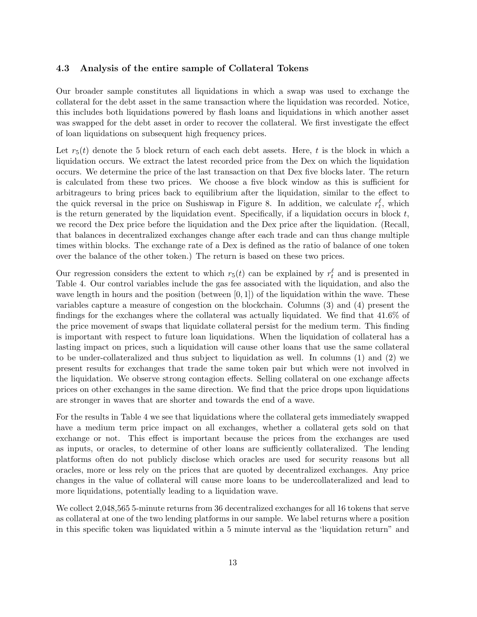#### 4.3 Analysis of the entire sample of Collateral Tokens

Our broader sample constitutes all liquidations in which a swap was used to exchange the collateral for the debt asset in the same transaction where the liquidation was recorded. Notice, this includes both liquidations powered by flash loans and liquidations in which another asset was swapped for the debt asset in order to recover the collateral. We first investigate the effect of loan liquidations on subsequent high frequency prices.

Let  $r_5(t)$  denote the 5 block return of each each debt assets. Here, t is the block in which a liquidation occurs. We extract the latest recorded price from the Dex on which the liquidation occurs. We determine the price of the last transaction on that Dex five blocks later. The return is calculated from these two prices. We choose a five block window as this is sufficient for arbitrageurs to bring prices back to equilibrium after the liquidation, similar to the effect to the quick reversal in the price on Sushiswap in Figure 8. In addition, we calculate  $r_t^{\ell}$ , which is the return generated by the liquidation event. Specifically, if a liquidation occurs in block  $t$ , we record the Dex price before the liquidation and the Dex price after the liquidation. (Recall, that balances in decentralized exchanges change after each trade and can thus change multiple times within blocks. The exchange rate of a Dex is defined as the ratio of balance of one token over the balance of the other token.) The return is based on these two prices.

Our regression considers the extent to which  $r_5(t)$  can be explained by  $r_t^{\ell}$  and is presented in Table 4. Our control variables include the gas fee associated with the liquidation, and also the wave length in hours and the position (between  $[0, 1]$ ) of the liquidation within the wave. These variables capture a measure of congestion on the blockchain. Columns (3) and (4) present the findings for the exchanges where the collateral was actually liquidated. We find that 41.6% of the price movement of swaps that liquidate collateral persist for the medium term. This finding is important with respect to future loan liquidations. When the liquidation of collateral has a lasting impact on prices, such a liquidation will cause other loans that use the same collateral to be under-collateralized and thus subject to liquidation as well. In columns (1) and (2) we present results for exchanges that trade the same token pair but which were not involved in the liquidation. We observe strong contagion effects. Selling collateral on one exchange affects prices on other exchanges in the same direction. We find that the price drops upon liquidations are stronger in waves that are shorter and towards the end of a wave.

For the results in Table 4 we see that liquidations where the collateral gets immediately swapped have a medium term price impact on all exchanges, whether a collateral gets sold on that exchange or not. This effect is important because the prices from the exchanges are used as inputs, or oracles, to determine of other loans are sufficiently collateralized. The lending platforms often do not publicly disclose which oracles are used for security reasons but all oracles, more or less rely on the prices that are quoted by decentralized exchanges. Any price changes in the value of collateral will cause more loans to be undercollateralized and lead to more liquidations, potentially leading to a liquidation wave.

We collect 2,048,565 5-minute returns from 36 decentralized exchanges for all 16 tokens that serve as collateral at one of the two lending platforms in our sample. We label returns where a position in this specific token was liquidated within a 5 minute interval as the 'liquidation return" and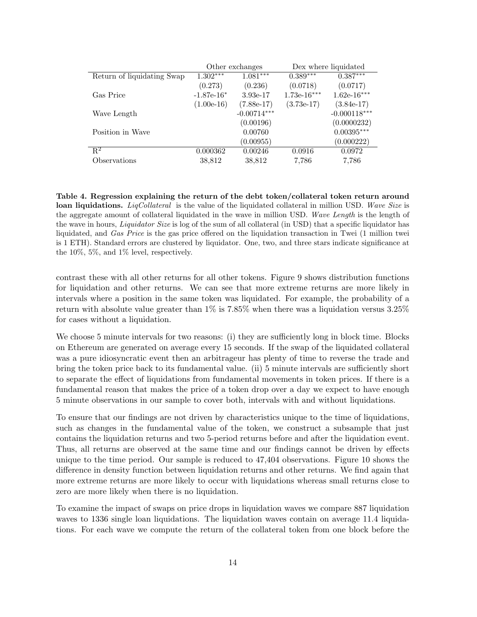|                            | Other exchanges |               |               | Dex where liquidated |
|----------------------------|-----------------|---------------|---------------|----------------------|
| Return of liquidating Swap | $1.302***$      | $1.081***$    | $0.389***$    | $0.387***$           |
|                            | (0.273)         | (0.236)       | (0.0718)      | (0.0717)             |
| Gas Price                  | $-1.87e-16*$    | 3.93e-17      | $1.73e-16***$ | $1.62e-16***$        |
|                            | $(1.00e-16)$    | $(7.88e-17)$  | $(3.73e-17)$  | $(3.84e-17)$         |
| Wave Length                |                 | $-0.00714***$ |               | $-0.000118***$       |
|                            |                 | (0.00196)     |               | (0.0000232)          |
| Position in Wave           |                 | 0.00760       |               | $0.00395***$         |
|                            |                 | (0.00955)     |               | (0.000222)           |
| $R^2$                      | 0.000362        | 0.00246       | 0.0916        | 0.0972               |
| Observations               | 38,812          | 38,812        | 7,786         | 7.786                |

Table 4. Regression explaining the return of the debt token/collateral token return around loan liquidations. *LiqCollateral* is the value of the liquidated collateral in million USD. Wave Size is the aggregate amount of collateral liquidated in the wave in million USD. Wave Length is the length of the wave in hours, *Liquidator Size* is log of the sum of all collateral (in USD) that a specific liquidator has liquidated, and Gas Price is the gas price offered on the liquidation transaction in Twei (1 million twei is 1 ETH). Standard errors are clustered by liquidator. One, two, and three stars indicate significance at the 10%, 5%, and 1% level, respectively.

contrast these with all other returns for all other tokens. Figure 9 shows distribution functions for liquidation and other returns. We can see that more extreme returns are more likely in intervals where a position in the same token was liquidated. For example, the probability of a return with absolute value greater than  $1\%$  is 7.85% when there was a liquidation versus 3.25% for cases without a liquidation.

We choose 5 minute intervals for two reasons: (i) they are sufficiently long in block time. Blocks on Ethereum are generated on average every 15 seconds. If the swap of the liquidated collateral was a pure idiosyncratic event then an arbitrageur has plenty of time to reverse the trade and bring the token price back to its fundamental value. (ii) 5 minute intervals are sufficiently short to separate the effect of liquidations from fundamental movements in token prices. If there is a fundamental reason that makes the price of a token drop over a day we expect to have enough 5 minute observations in our sample to cover both, intervals with and without liquidations.

To ensure that our findings are not driven by characteristics unique to the time of liquidations, such as changes in the fundamental value of the token, we construct a subsample that just contains the liquidation returns and two 5-period returns before and after the liquidation event. Thus, all returns are observed at the same time and our findings cannot be driven by effects unique to the time period. Our sample is reduced to 47,404 observations. Figure 10 shows the difference in density function between liquidation returns and other returns. We find again that more extreme returns are more likely to occur with liquidations whereas small returns close to zero are more likely when there is no liquidation.

To examine the impact of swaps on price drops in liquidation waves we compare 887 liquidation waves to 1336 single loan liquidations. The liquidation waves contain on average 11.4 liquidations. For each wave we compute the return of the collateral token from one block before the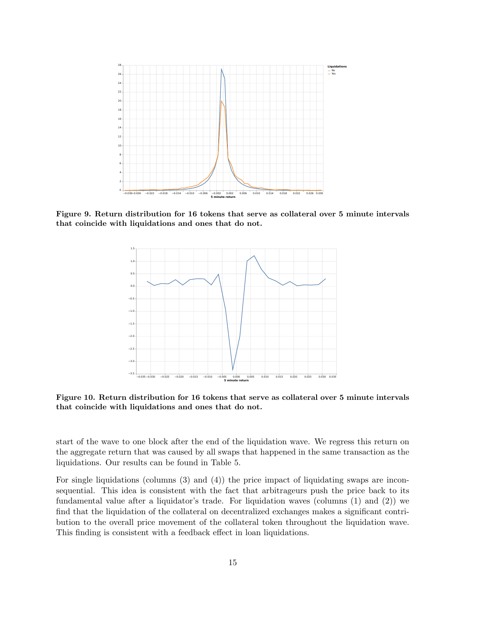

Figure 9. Return distribution for 16 tokens that serve as collateral over 5 minute intervals that coincide with liquidations and ones that do not.



Figure 10. Return distribution for 16 tokens that serve as collateral over 5 minute intervals that coincide with liquidations and ones that do not.

start of the wave to one block after the end of the liquidation wave. We regress this return on the aggregate return that was caused by all swaps that happened in the same transaction as the liquidations. Our results can be found in Table 5.

For single liquidations (columns (3) and (4)) the price impact of liquidating swaps are inconsequential. This idea is consistent with the fact that arbitrageurs push the price back to its fundamental value after a liquidator's trade. For liquidation waves (columns (1) and (2)) we find that the liquidation of the collateral on decentralized exchanges makes a significant contribution to the overall price movement of the collateral token throughout the liquidation wave. This finding is consistent with a feedback effect in loan liquidations.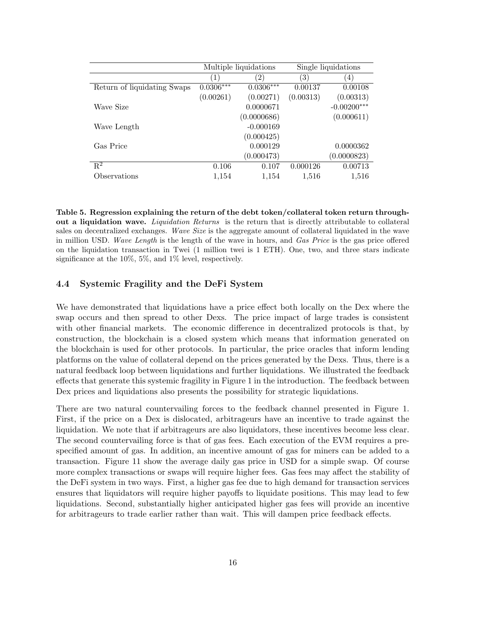|                             | Multiple liquidations |             | Single liquidations |               |
|-----------------------------|-----------------------|-------------|---------------------|---------------|
|                             | (1)                   | 2)          | $\left( 3\right)$   | 4)            |
| Return of liquidating Swaps | $0.0306***$           | $0.0306***$ | 0.00137             | 0.00108       |
|                             | (0.00261)             | (0.00271)   | (0.00313)           | (0.00313)     |
| Wave Size                   |                       | 0.0000671   |                     | $-0.00200***$ |
|                             |                       | (0.0000686) |                     | (0.000611)    |
| Wave Length                 |                       | $-0.000169$ |                     |               |
|                             |                       | (0.000425)  |                     |               |
| Gas Price                   |                       | 0.000129    |                     | 0.0000362     |
|                             |                       | (0.000473)  |                     | (0.0000823)   |
| $R^2$                       | 0.106                 | 0.107       | 0.000126            | 0.00713       |
| Observations                | 1,154                 | 1,154       | 1,516               | 1,516         |

Table 5. Regression explaining the return of the debt token/collateral token return throughout a liquidation wave. *Liquidation Returns* is the return that is directly attributable to collateral sales on decentralized exchanges. Wave Size is the aggregate amount of collateral liquidated in the wave in million USD. Wave Length is the length of the wave in hours, and Gas Price is the gas price offered on the liquidation transaction in Twei (1 million twei is 1 ETH). One, two, and three stars indicate significance at the 10%, 5%, and 1% level, respectively.

#### 4.4 Systemic Fragility and the DeFi System

We have demonstrated that liquidations have a price effect both locally on the Dex where the swap occurs and then spread to other Dexs. The price impact of large trades is consistent with other financial markets. The economic difference in decentralized protocols is that, by construction, the blockchain is a closed system which means that information generated on the blockchain is used for other protocols. In particular, the price oracles that inform lending platforms on the value of collateral depend on the prices generated by the Dexs. Thus, there is a natural feedback loop between liquidations and further liquidations. We illustrated the feedback effects that generate this systemic fragility in Figure 1 in the introduction. The feedback between Dex prices and liquidations also presents the possibility for strategic liquidations.

There are two natural countervailing forces to the feedback channel presented in Figure 1. First, if the price on a Dex is dislocated, arbitrageurs have an incentive to trade against the liquidation. We note that if arbitrageurs are also liquidators, these incentives become less clear. The second countervailing force is that of gas fees. Each execution of the EVM requires a prespecified amount of gas. In addition, an incentive amount of gas for miners can be added to a transaction. Figure 11 show the average daily gas price in USD for a simple swap. Of course more complex transactions or swaps will require higher fees. Gas fees may affect the stability of the DeFi system in two ways. First, a higher gas fee due to high demand for transaction services ensures that liquidators will require higher payoffs to liquidate positions. This may lead to few liquidations. Second, substantially higher anticipated higher gas fees will provide an incentive for arbitrageurs to trade earlier rather than wait. This will dampen price feedback effects.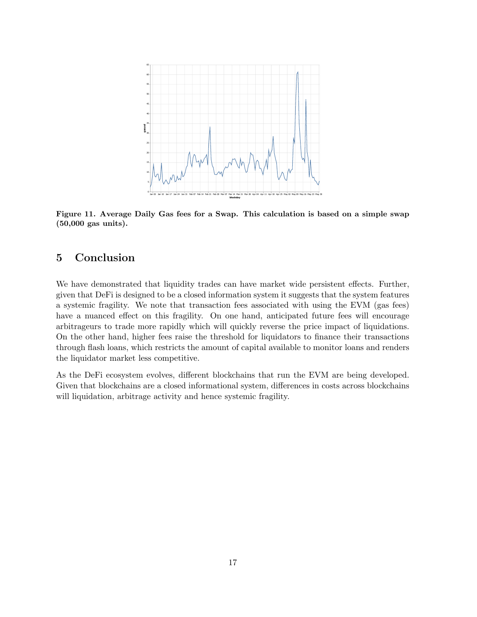

Figure 11. Average Daily Gas fees for a Swap. This calculation is based on a simple swap (50,000 gas units).

## 5 Conclusion

We have demonstrated that liquidity trades can have market wide persistent effects. Further, given that DeFi is designed to be a closed information system it suggests that the system features a systemic fragility. We note that transaction fees associated with using the EVM (gas fees) have a nuanced effect on this fragility. On one hand, anticipated future fees will encourage arbitrageurs to trade more rapidly which will quickly reverse the price impact of liquidations. On the other hand, higher fees raise the threshold for liquidators to finance their transactions through flash loans, which restricts the amount of capital available to monitor loans and renders the liquidator market less competitive.

As the DeFi ecosystem evolves, different blockchains that run the EVM are being developed. Given that blockchains are a closed informational system, differences in costs across blockchains will liquidation, arbitrage activity and hence systemic fragility.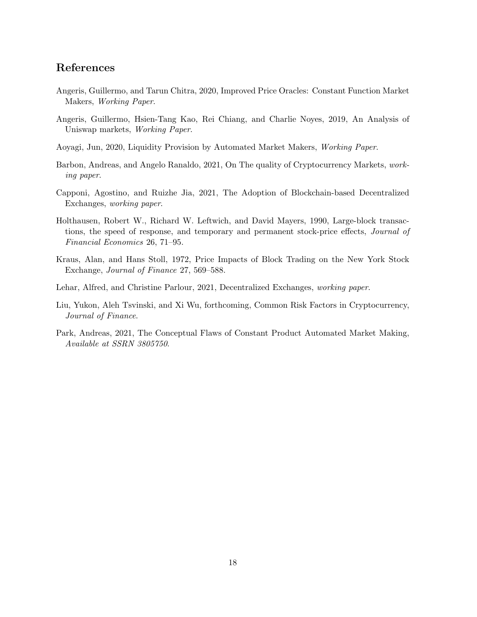# References

- Angeris, Guillermo, and Tarun Chitra, 2020, Improved Price Oracles: Constant Function Market Makers, Working Paper.
- Angeris, Guillermo, Hsien-Tang Kao, Rei Chiang, and Charlie Noyes, 2019, An Analysis of Uniswap markets, Working Paper.
- Aoyagi, Jun, 2020, Liquidity Provision by Automated Market Makers, Working Paper.
- Barbon, Andreas, and Angelo Ranaldo, 2021, On The quality of Cryptocurrency Markets, working paper.
- Capponi, Agostino, and Ruizhe Jia, 2021, The Adoption of Blockchain-based Decentralized Exchanges, working paper.
- Holthausen, Robert W., Richard W. Leftwich, and David Mayers, 1990, Large-block transactions, the speed of response, and temporary and permanent stock-price effects, *Journal of* Financial Economics 26, 71–95.
- Kraus, Alan, and Hans Stoll, 1972, Price Impacts of Block Trading on the New York Stock Exchange, Journal of Finance 27, 569–588.
- Lehar, Alfred, and Christine Parlour, 2021, Decentralized Exchanges, working paper.
- Liu, Yukon, Aleh Tsvinski, and Xi Wu, forthcoming, Common Risk Factors in Cryptocurrency, Journal of Finance.
- Park, Andreas, 2021, The Conceptual Flaws of Constant Product Automated Market Making, Available at SSRN 3805750.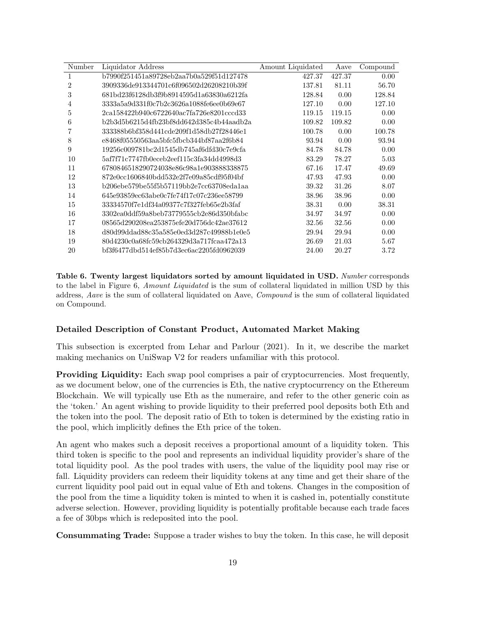| Number         | Liquidator Address                         | Amount Liquidated | Aave   | Compound |
|----------------|--------------------------------------------|-------------------|--------|----------|
| 1              | b7990f251451a89728eb2aa7b0a529f51d127478   | 427.37            | 427.37 | 0.00     |
| $\overline{2}$ | 3909336de913344701c6f096502d26208210b39f   | 137.81            | 81.11  | 56.70    |
| 3              | 681bd23f6128db3f9b8914595d1a63830a6212fa   | 128.84            | 0.00   | 128.84   |
| 4              | 3333a5a9d331f0c7b2c3626a1088fe6ee0b69e67   | 127.10            | 0.00   | 127.10   |
| 5              | 2ca158422b940c6722640ac7fa726e8201cccd33   | 119.15            | 119.15 | 0.00     |
| 6              | b2b3d5b6215d4fb23bf8dd642d385c4b44aadb2a   | 109.82            | 109.82 | 0.00     |
| 7              | 333388b6bf358d441cde209f1d58db27f28446e1   | 100.78            | 0.00   | 100.78   |
| 8              | e8468f05550563aa5bfc5fbcb344bf87aa2f6b84   | 93.94             | 0.00   | 93.94    |
| 9              | 19256c009781bc2d1545db745af6dfd30c7e9cfa   | 84.78             | 84.78  | 0.00     |
| 10             | 5af7f71c7747fb0eceb2eef115c3fa34dd4998d3   | 83.29             | 78.27  | 5.03     |
| 11             | 6780846518290724038e86c98a1e903888338875   | 67.16             | 17.47  | 49.69    |
| 12             | 872e0cc1606840bdd532e2f7e09a85cdf95f04bf   | 47.93             | 47.93  | 0.00     |
| 13             | $b206ebe579be55f5b57119bb2e7cc63708eda1aa$ | 39.32             | 31.26  | 8.07     |
| 14             | 645e93859ec63abe0c7fe74f17c07c236ee58799   | 38.96             | 38.96  | 0.00     |
| 15             | 33334570f7e1df34a09377c7f327feb65e2b3faf   | 38.31             | 0.00   | 38.31    |
| 16             | 3302ea0ddf59a8beb73779555cb2e86d350bfabc   | 34.97             | 34.97  | 0.00     |
| 17             | 08565d290208ea253875efe20d756dc42ae37612   | 32.56             | 32.56  | 0.00     |
| 18             | d80d99ddad88c35a585e0ed3d287c49988b1e0e5   | 29.94             | 29.94  | 0.00     |
| 19             | 80d4230c0a68fc59cb264329d3a717fcaa472a13   | 26.69             | 21.03  | 5.67     |
| 20             | bf3f6477dbd514ef85b7d3ec6ac2205fd0962039   | 24.00             | 20.27  | 3.72     |

Table 6. Twenty largest liquidators sorted by amount liquidated in USD. Number corresponds to the label in Figure 6, Amount Liquidated is the sum of collateral liquidated in million USD by this address, Aave is the sum of collateral liquidated on Aave, Compound is the sum of collateral liquidated on Compound.

#### Detailed Description of Constant Product, Automated Market Making

This subsection is excerpted from Lehar and Parlour (2021). In it, we describe the market making mechanics on UniSwap V2 for readers unfamiliar with this protocol.

**Providing Liquidity:** Each swap pool comprises a pair of cryptocurrencies. Most frequently, as we document below, one of the currencies is Eth, the native cryptocurrency on the Ethereum Blockchain. We will typically use Eth as the numeraire, and refer to the other generic coin as the 'token.' An agent wishing to provide liquidity to their preferred pool deposits both Eth and the token into the pool. The deposit ratio of Eth to token is determined by the existing ratio in the pool, which implicitly defines the Eth price of the token.

An agent who makes such a deposit receives a proportional amount of a liquidity token. This third token is specific to the pool and represents an individual liquidity provider's share of the total liquidity pool. As the pool trades with users, the value of the liquidity pool may rise or fall. Liquidity providers can redeem their liquidity tokens at any time and get their share of the current liquidity pool paid out in equal value of Eth and tokens. Changes in the composition of the pool from the time a liquidity token is minted to when it is cashed in, potentially constitute adverse selection. However, providing liquidity is potentially profitable because each trade faces a fee of 30bps which is redeposited into the pool.

Consummating Trade: Suppose a trader wishes to buy the token. In this case, he will deposit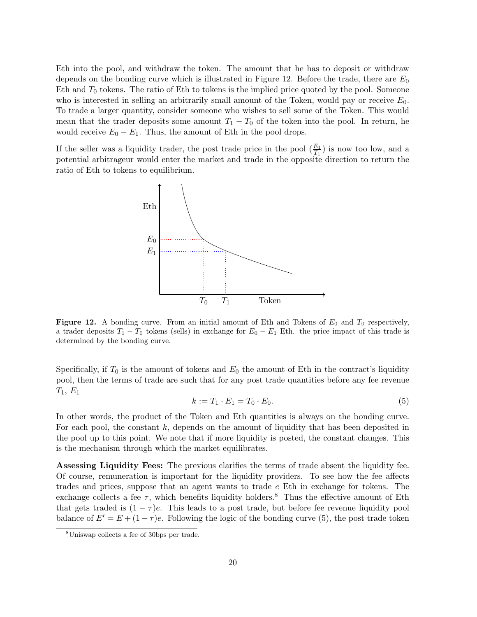Eth into the pool, and withdraw the token. The amount that he has to deposit or withdraw depends on the bonding curve which is illustrated in Figure 12. Before the trade, there are  $E_0$ Eth and  $T_0$  tokens. The ratio of Eth to tokens is the implied price quoted by the pool. Someone who is interested in selling an arbitrarily small amount of the Token, would pay or receive  $E_0$ . To trade a larger quantity, consider someone who wishes to sell some of the Token. This would mean that the trader deposits some amount  $T_1 - T_0$  of the token into the pool. In return, he would receive  $E_0 - E_1$ . Thus, the amount of Eth in the pool drops.

If the seller was a liquidity trader, the post trade price in the pool  $(\frac{E_1}{T_1})$  is now too low, and a potential arbitrageur would enter the market and trade in the opposite direction to return the ratio of Eth to tokens to equilibrium.



**Figure 12.** A bonding curve. From an initial amount of Eth and Tokens of  $E_0$  and  $T_0$  respectively, a trader deposits  $T_1 - T_0$  tokens (sells) in exchange for  $E_0 - E_1$  Eth. the price impact of this trade is determined by the bonding curve.

Specifically, if  $T_0$  is the amount of tokens and  $E_0$  the amount of Eth in the contract's liquidity pool, then the terms of trade are such that for any post trade quantities before any fee revenue  $T_1, E_1$ 

$$
k := T_1 \cdot E_1 = T_0 \cdot E_0. \tag{5}
$$

In other words, the product of the Token and Eth quantities is always on the bonding curve. For each pool, the constant  $k$ , depends on the amount of liquidity that has been deposited in the pool up to this point. We note that if more liquidity is posted, the constant changes. This is the mechanism through which the market equilibrates.

Assessing Liquidity Fees: The previous clarifies the terms of trade absent the liquidity fee. Of course, remuneration is important for the liquidity providers. To see how the fee affects trades and prices, suppose that an agent wants to trade e Eth in exchange for tokens. The exchange collects a fee  $\tau$ , which benefits liquidity holders.<sup>8</sup> Thus the effective amount of Eth that gets traded is  $(1 - \tau)e$ . This leads to a post trade, but before fee revenue liquidity pool balance of  $E' = E + (1 - \tau)e$ . Following the logic of the bonding curve (5), the post trade token

<sup>8</sup>Uniswap collects a fee of 30bps per trade.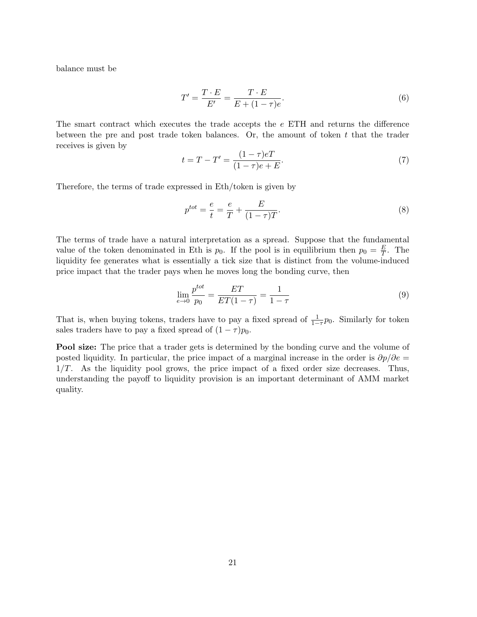balance must be

$$
T' = \frac{T \cdot E}{E'} = \frac{T \cdot E}{E + (1 - \tau)e}.
$$
\n
$$
(6)
$$

The smart contract which executes the trade accepts the e ETH and returns the difference between the pre and post trade token balances. Or, the amount of token  $t$  that the trader receives is given by

$$
t = T - T' = \frac{(1 - \tau)eT}{(1 - \tau)e + E}.
$$
\n(7)

Therefore, the terms of trade expressed in Eth/token is given by

$$
p^{tot} = \frac{e}{t} = \frac{e}{T} + \frac{E}{(1 - \tau)T}.
$$
\n
$$
(8)
$$

The terms of trade have a natural interpretation as a spread. Suppose that the fundamental value of the token denominated in Eth is  $p_0$ . If the pool is in equilibrium then  $p_0 = \frac{E}{T}$  $\frac{E}{T}$ . The liquidity fee generates what is essentially a tick size that is distinct from the volume-induced price impact that the trader pays when he moves long the bonding curve, then

$$
\lim_{e \to 0} \frac{p^{tot}}{p_0} = \frac{ET}{ET(1-\tau)} = \frac{1}{1-\tau}
$$
\n(9)

That is, when buying tokens, traders have to pay a fixed spread of  $\frac{1}{1-\tau}p_0$ . Similarly for token sales traders have to pay a fixed spread of  $(1 - \tau)p_0$ .

Pool size: The price that a trader gets is determined by the bonding curve and the volume of posted liquidity. In particular, the price impact of a marginal increase in the order is  $\partial p/\partial e =$  $1/T$ . As the liquidity pool grows, the price impact of a fixed order size decreases. Thus, understanding the payoff to liquidity provision is an important determinant of AMM market quality.